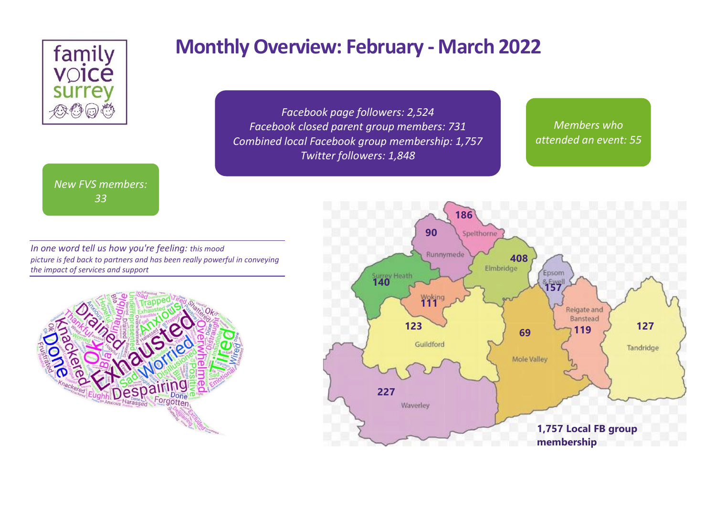

### *New FVS members: 33*

# **Monthly Overview: February - March 2022**

*Facebook page followers: 2,524 Facebook closed parent group members: 731 Combined local Facebook group membership: 1,757 Twitter followers: 1,848*

*Members who attended an event: 55*



*In one word tell us how you're feeling: this mood picture is fed back to partners and has been really powerful in conveying the impact of services and support*

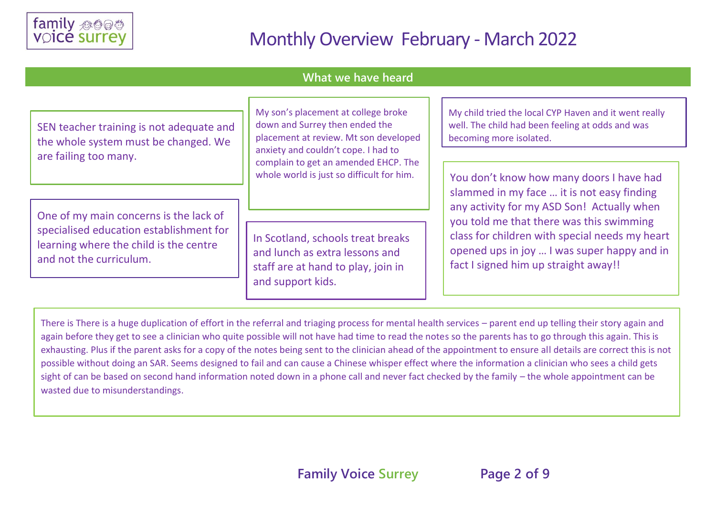

#### **What we have heard**

| SEN teacher training is not adequate and<br>the whole system must be changed. We<br>are failing too many.                                              | My son's placement at college broke<br>down and Surrey then ended the<br>placement at review. Mt son developed<br>anxiety and couldn't cope. I had to<br>complain to get an amended EHCP. The<br>whole world is just so difficult for him. | My child tried the local CYP Haven and it went really<br>well. The child had been feeling at odds and was<br>becoming more isolated.                                              |  |
|--------------------------------------------------------------------------------------------------------------------------------------------------------|--------------------------------------------------------------------------------------------------------------------------------------------------------------------------------------------------------------------------------------------|-----------------------------------------------------------------------------------------------------------------------------------------------------------------------------------|--|
|                                                                                                                                                        |                                                                                                                                                                                                                                            | You don't know how many doors I have had<br>slammed in my face  it is not easy finding<br>any activity for my ASD Son! Actually when                                              |  |
| One of my main concerns is the lack of<br>specialised education establishment for<br>learning where the child is the centre<br>and not the curriculum. | In Scotland, schools treat breaks<br>and lunch as extra lessons and<br>staff are at hand to play, join in<br>and support kids.                                                                                                             | you told me that there was this swimming<br>class for children with special needs my heart<br>opened ups in joy  I was super happy and in<br>fact I signed him up straight away!! |  |

There is There is a huge duplication of effort in the referral and triaging process for mental health services – parent end up telling their story again and again before they get to see a clinician who quite possible will not have had time to read the notes so the parents has to go through this again. This is exhausting. Plus if the parent asks for a copy of the notes being sent to the clinician ahead of the appointment to ensure all details are correct this is not possible without doing an SAR. Seems designed to fail and can cause a Chinese whisper effect where the information a clinician who sees a child gets sight of can be based on second hand information noted down in a phone call and never fact checked by the family – the whole appointment can be wasted due to misunderstandings.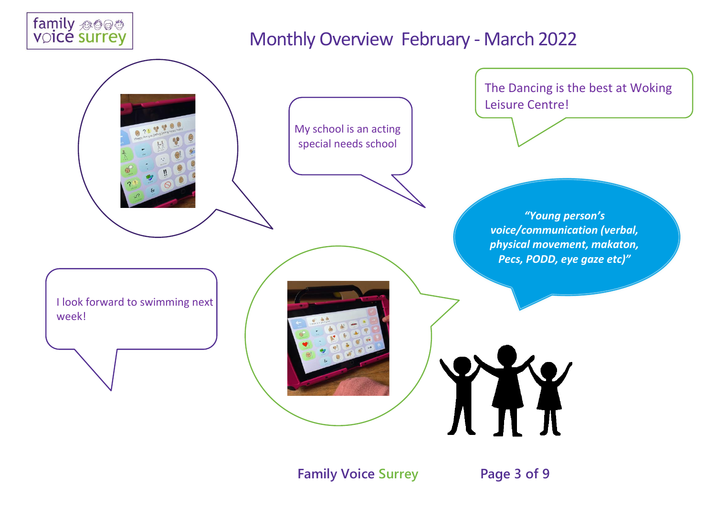



**Family Voice Surrey Page 3 of 9**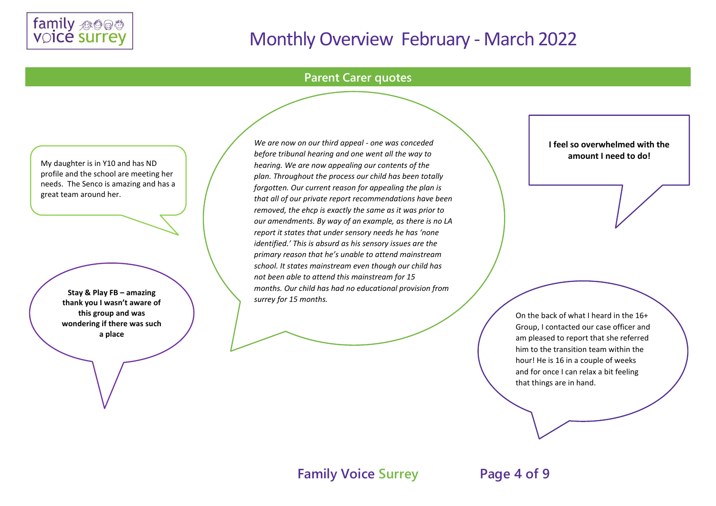

#### **Parent Carer quotes**

My daughter is in Y10 and has ND profile and the school are meeting her needs. The Senco is amazing and has a great team around her.

> **Stay & Play FB – amazing thank you I wasn't aware of this group and was wondering if there was such a place**

*We are now on our third appeal - one was conceded before tribunal hearing and one went all the way to hearing. We are now appealing our contents of the plan. Throughout the process our child has been totally forgotten. Our current reason for appealing the plan is that all of our private report recommendations have been removed, the ehcp is exactly the same as it was prior to our amendments. By way of an example, as there is no LA report it states that under sensory needs he has 'none identified.' This is absurd as his sensory issues are the primary reason that he's unable to attend mainstream school. It states mainstream even though our child has not been able to attend this mainstream for 15 months. Our child has had no educational provision from surrey for 15 months.*

**I feel so overwhelmed with the amount I need to do!**

On the back of what I heard in the 16+ Group, I contacted our case officer and am pleased to report that she referred him to the transition team within the hour! He is 16 in a couple of weeks and for once I can relax a bit feeling that things are in hand.

**Family Voice Surrey Page 4 of 9**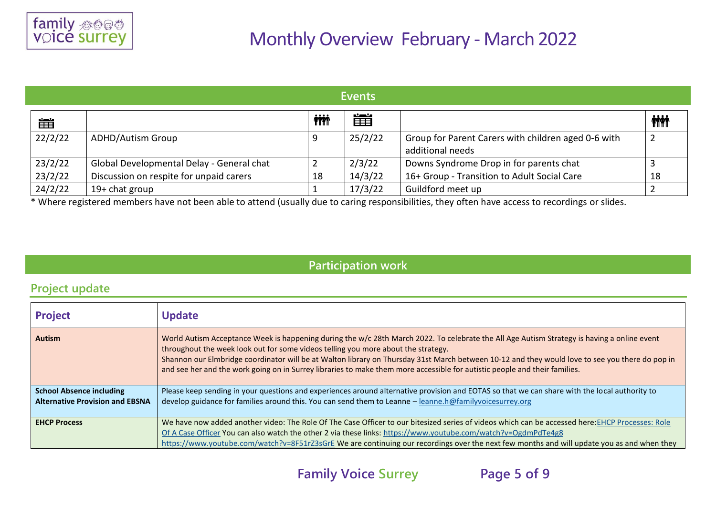| <b>Events</b> |                                           |            |         |                                                                         |              |
|---------------|-------------------------------------------|------------|---------|-------------------------------------------------------------------------|--------------|
| 崖             |                                           | <b>ini</b> | 簠       |                                                                         | <b>inini</b> |
| 22/2/22       | <b>ADHD/Autism Group</b>                  |            | 25/2/22 | Group for Parent Carers with children aged 0-6 with<br>additional needs |              |
| 23/2/22       | Global Developmental Delay - General chat |            | 2/3/22  | Downs Syndrome Drop in for parents chat                                 |              |
| 23/2/22       | Discussion on respite for unpaid carers   | 18         | 14/3/22 | 16+ Group - Transition to Adult Social Care                             | 18           |
| 24/2/22       | $19+$ chat group                          |            | 17/3/22 | Guildford meet up                                                       |              |

\* Where registered members have not been able to attend (usually due to caring responsibilities, they often have access to recordings or slides.

### **Participation work**

### **Project update**

| <b>Project</b>                                                            | <b>Update</b>                                                                                                                                                                                                                                                                                                                                                                                                                                                                                                     |
|---------------------------------------------------------------------------|-------------------------------------------------------------------------------------------------------------------------------------------------------------------------------------------------------------------------------------------------------------------------------------------------------------------------------------------------------------------------------------------------------------------------------------------------------------------------------------------------------------------|
| <b>Autism</b>                                                             | World Autism Acceptance Week is happening during the w/c 28th March 2022. To celebrate the All Age Autism Strategy is having a online event<br>throughout the week look out for some videos telling you more about the strategy.<br>Shannon our Elmbridge coordinator will be at Walton library on Thursday 31st March between 10-12 and they would love to see you there do pop in<br>and see her and the work going on in Surrey libraries to make them more accessible for autistic people and their families. |
| <b>School Absence including</b><br><b>Alternative Provision and EBSNA</b> | Please keep sending in your questions and experiences around alternative provision and EOTAS so that we can share with the local authority to<br>develop guidance for families around this. You can send them to Leanne - leanne.h@familyvoicesurrey.org                                                                                                                                                                                                                                                          |
| <b>EHCP Process</b>                                                       | We have now added another video: The Role Of The Case Officer to our bitesized series of videos which can be accessed here: EHCP Processes: Role<br>Of A Case Officer You can also watch the other 2 via these links: https://www.youtube.com/watch?v=OgdmPdTe4g8<br>https://www.youtube.com/watch?v=8F51rZ3sGrE We are continuing our recordings over the next few months and will update you as and when they                                                                                                   |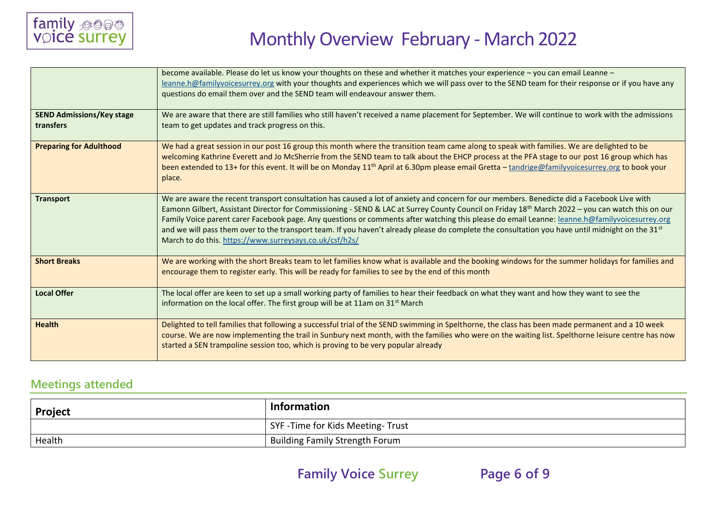

|                                               | become available. Please do let us know your thoughts on these and whether it matches your experience – you can email Leanne –<br>leanne.h@familyvoicesurrey.org with your thoughts and experiences which we will pass over to the SEND team for their response or if you have any<br>questions do email them over and the SEND team will endeavour answer them.                                                                                                                                                                                                                                                                                                                       |
|-----------------------------------------------|----------------------------------------------------------------------------------------------------------------------------------------------------------------------------------------------------------------------------------------------------------------------------------------------------------------------------------------------------------------------------------------------------------------------------------------------------------------------------------------------------------------------------------------------------------------------------------------------------------------------------------------------------------------------------------------|
| <b>SEND Admissions/Key stage</b><br>transfers | We are aware that there are still families who still haven't received a name placement for September. We will continue to work with the admissions<br>team to get updates and track progress on this.                                                                                                                                                                                                                                                                                                                                                                                                                                                                                  |
| <b>Preparing for Adulthood</b>                | We had a great session in our post 16 group this month where the transition team came along to speak with families. We are delighted to be<br>welcoming Kathrine Everett and Jo McSherrie from the SEND team to talk about the EHCP process at the PFA stage to our post 16 group which has<br>been extended to 13+ for this event. It will be on Monday 11 <sup>th</sup> April at 6.30pm please email Gretta - tandrige@familyvoicesurrey.org to book your<br>place.                                                                                                                                                                                                                  |
| <b>Transport</b>                              | We are aware the recent transport consultation has caused a lot of anxiety and concern for our members. Benedicte did a Facebook Live with<br>Eamonn Gilbert, Assistant Director for Commissioning - SEND & LAC at Surrey County Council on Friday 18 <sup>th</sup> March 2022 – you can watch this on our<br>Family Voice parent carer Facebook page. Any questions or comments after watching this please do email Leanne: leanne.h@familyvoicesurrey.org<br>and we will pass them over to the transport team. If you haven't already please do complete the consultation you have until midnight on the 31 <sup>st</sup><br>March to do this. https://www.surreysays.co.uk/csf/h2s/ |
| <b>Short Breaks</b>                           | We are working with the short Breaks team to let families know what is available and the booking windows for the summer holidays for families and<br>encourage them to register early. This will be ready for families to see by the end of this month                                                                                                                                                                                                                                                                                                                                                                                                                                 |
| <b>Local Offer</b>                            | The local offer are keen to set up a small working party of families to hear their feedback on what they want and how they want to see the<br>information on the local offer. The first group will be at 11am on 31 <sup>st</sup> March                                                                                                                                                                                                                                                                                                                                                                                                                                                |
| <b>Health</b>                                 | Delighted to tell families that following a successful trial of the SEND swimming in Spelthorne, the class has been made permanent and a 10 week<br>course. We are now implementing the trail in Sunbury next month, with the families who were on the waiting list. Spelthorne leisure centre has now<br>started a SEN trampoline session too, which is proving to be very popular already                                                                                                                                                                                                                                                                                            |

### **Meetings attended**

| <b>Project</b> | 'Information                          |  |
|----------------|---------------------------------------|--|
|                | SYF-Time for Kids Meeting-Trust       |  |
| Health         | <b>Building Family Strength Forum</b> |  |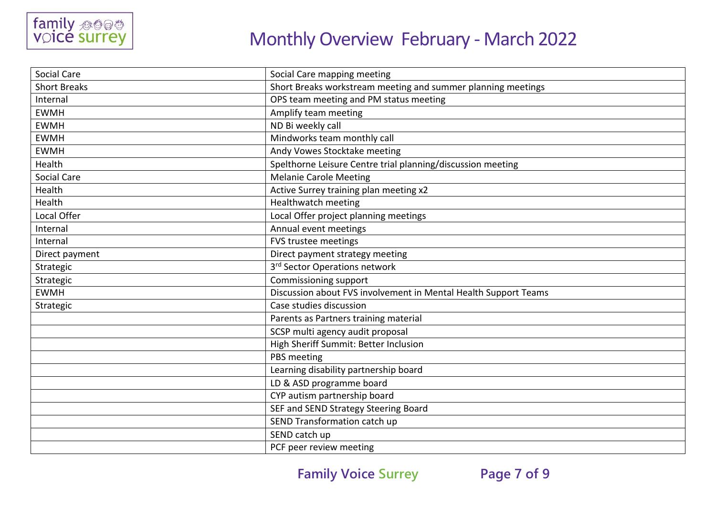

| <b>Social Care</b>  | Social Care mapping meeting                                     |
|---------------------|-----------------------------------------------------------------|
| <b>Short Breaks</b> | Short Breaks workstream meeting and summer planning meetings    |
| Internal            | OPS team meeting and PM status meeting                          |
| <b>EWMH</b>         | Amplify team meeting                                            |
| <b>EWMH</b>         | ND Bi weekly call                                               |
| <b>EWMH</b>         | Mindworks team monthly call                                     |
| <b>EWMH</b>         | Andy Vowes Stocktake meeting                                    |
| Health              | Spelthorne Leisure Centre trial planning/discussion meeting     |
| Social Care         | <b>Melanie Carole Meeting</b>                                   |
| Health              | Active Surrey training plan meeting x2                          |
| Health              | Healthwatch meeting                                             |
| Local Offer         | Local Offer project planning meetings                           |
| Internal            | Annual event meetings                                           |
| Internal            | FVS trustee meetings                                            |
| Direct payment      | Direct payment strategy meeting                                 |
| Strategic           | 3 <sup>rd</sup> Sector Operations network                       |
| Strategic           | Commissioning support                                           |
| <b>EWMH</b>         | Discussion about FVS involvement in Mental Health Support Teams |
| Strategic           | Case studies discussion                                         |
|                     | Parents as Partners training material                           |
|                     | SCSP multi agency audit proposal                                |
|                     | High Sheriff Summit: Better Inclusion                           |
|                     | PBS meeting                                                     |
|                     | Learning disability partnership board                           |
|                     | LD & ASD programme board                                        |
|                     | CYP autism partnership board                                    |
|                     | SEF and SEND Strategy Steering Board                            |
|                     | SEND Transformation catch up                                    |
|                     | SEND catch up                                                   |
|                     | PCF peer review meeting                                         |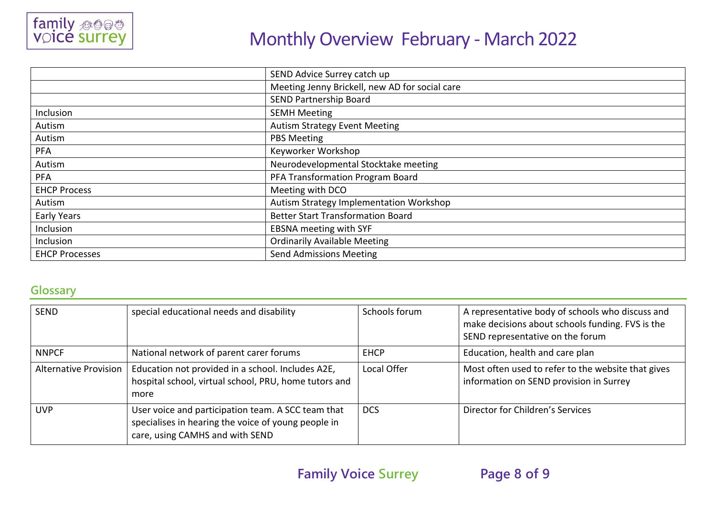

|                       | SEND Advice Surrey catch up                    |  |
|-----------------------|------------------------------------------------|--|
|                       | Meeting Jenny Brickell, new AD for social care |  |
|                       | <b>SEND Partnership Board</b>                  |  |
| Inclusion             | <b>SEMH Meeting</b>                            |  |
| Autism                | <b>Autism Strategy Event Meeting</b>           |  |
| Autism                | <b>PBS Meeting</b>                             |  |
| <b>PFA</b>            | Keyworker Workshop                             |  |
| Autism                | Neurodevelopmental Stocktake meeting           |  |
| <b>PFA</b>            | PFA Transformation Program Board               |  |
| <b>EHCP Process</b>   | Meeting with DCO                               |  |
| Autism                | Autism Strategy Implementation Workshop        |  |
| <b>Early Years</b>    | <b>Better Start Transformation Board</b>       |  |
| Inclusion             | EBSNA meeting with SYF                         |  |
| Inclusion             | <b>Ordinarily Available Meeting</b>            |  |
| <b>EHCP Processes</b> | <b>Send Admissions Meeting</b>                 |  |

### **Glossary**

| <b>SEND</b>                  | special educational needs and disability                                                                                                     | Schools forum | A representative body of schools who discuss and<br>make decisions about schools funding. FVS is the<br>SEND representative on the forum |
|------------------------------|----------------------------------------------------------------------------------------------------------------------------------------------|---------------|------------------------------------------------------------------------------------------------------------------------------------------|
| <b>NNPCF</b>                 | National network of parent carer forums                                                                                                      | <b>EHCP</b>   | Education, health and care plan                                                                                                          |
| <b>Alternative Provision</b> | Education not provided in a school. Includes A2E,<br>hospital school, virtual school, PRU, home tutors and<br>more                           | Local Offer   | Most often used to refer to the website that gives<br>information on SEND provision in Surrey                                            |
| <b>UVP</b>                   | User voice and participation team. A SCC team that<br>specialises in hearing the voice of young people in<br>care, using CAMHS and with SEND | <b>DCS</b>    | Director for Children's Services                                                                                                         |